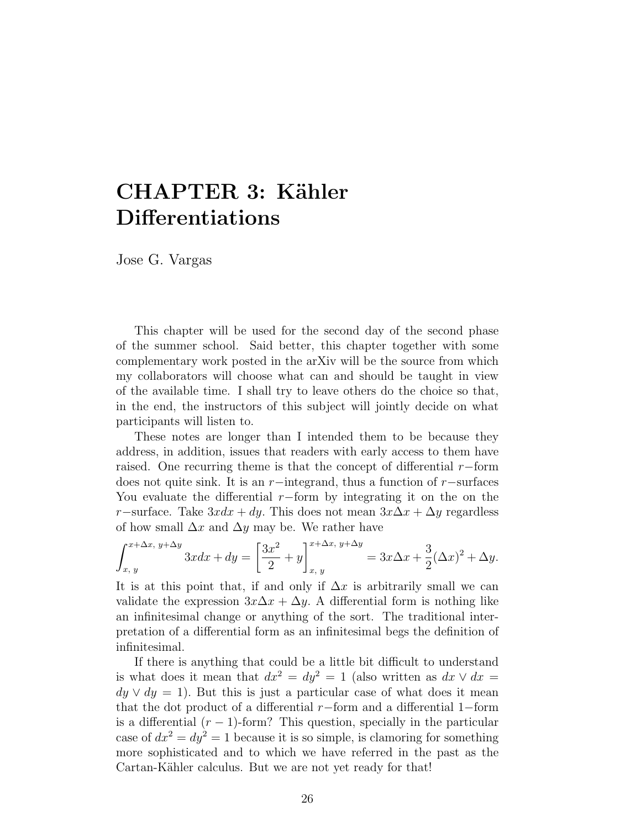# CHAPTER 3: Kähler Differentiations

Jose G. Vargas

This chapter will be used for the second day of the second phase of the summer school. Said better, this chapter together with some complementary work posted in the arXiv will be the source from which my collaborators will choose what can and should be taught in view of the available time. I shall try to leave others do the choice so that, in the end, the instructors of this subject will jointly decide on what participants will listen to.

These notes are longer than I intended them to be because they address, in addition, issues that readers with early access to them have raised. One recurring theme is that the concept of differential  $r$ −form does not quite sink. It is an r−integrand, thus a function of r−surfaces You evaluate the differential  $r$ −form by integrating it on the on the r−surface. Take  $3xdx + dy$ . This does not mean  $3x\Delta x + \Delta y$  regardless of how small  $\Delta x$  and  $\Delta y$  may be. We rather have

$$
\int_{x, y}^{x + \Delta x, y + \Delta y} 3x dx + dy = \left[ \frac{3x^2}{2} + y \right]_{x, y}^{x + \Delta x, y + \Delta y} = 3x \Delta x + \frac{3}{2} (\Delta x)^2 + \Delta y.
$$

It is at this point that, if and only if  $\Delta x$  is arbitrarily small we can validate the expression  $3x\Delta x + \Delta y$ . A differential form is nothing like an infinitesimal change or anything of the sort. The traditional interpretation of a differential form as an infinitesimal begs the definition of infinitesimal.

If there is anything that could be a little bit difficult to understand is what does it mean that  $dx^2 = dy^2 = 1$  (also written as  $dx \vee dx =$  $dy \vee dy = 1$ . But this is just a particular case of what does it mean that the dot product of a differential r−form and a differential 1−form is a differential  $(r - 1)$ -form? This question, specially in the particular case of  $dx^2 = dy^2 = 1$  because it is so simple, is clamoring for something more sophisticated and to which we have referred in the past as the Cartan-Kähler calculus. But we are not yet ready for that!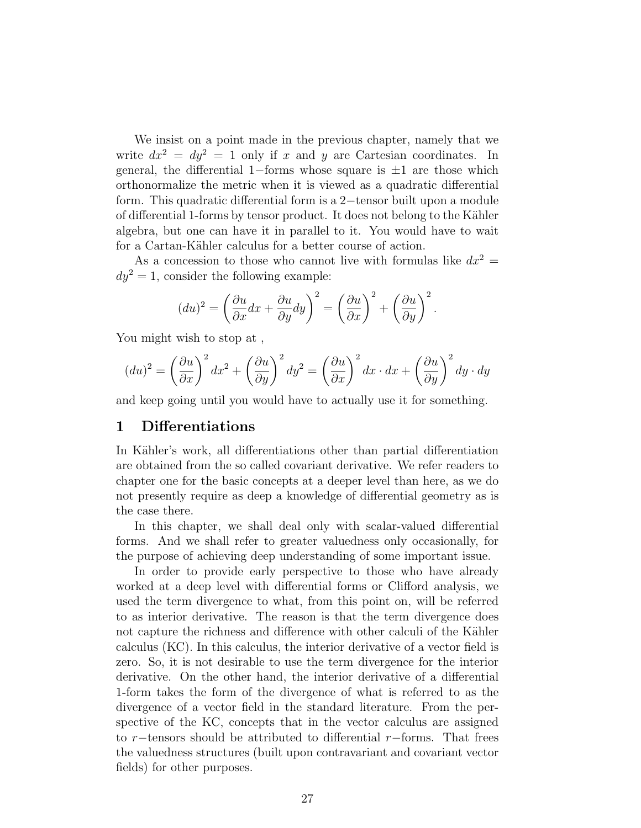We insist on a point made in the previous chapter, namely that we write  $dx^2 = dy^2 = 1$  only if x and y are Cartesian coordinates. In general, the differential 1–forms whose square is  $\pm 1$  are those which orthonormalize the metric when it is viewed as a quadratic differential form. This quadratic differential form is a 2−tensor built upon a module of differential 1-forms by tensor product. It does not belong to the Kähler algebra, but one can have it in parallel to it. You would have to wait for a Cartan-Kähler calculus for a better course of action.

As a concession to those who cannot live with formulas like  $dx^2 =$  $dy^2 = 1$ , consider the following example:

$$
(du)^{2} = \left(\frac{\partial u}{\partial x}dx + \frac{\partial u}{\partial y}dy\right)^{2} = \left(\frac{\partial u}{\partial x}\right)^{2} + \left(\frac{\partial u}{\partial y}\right)^{2}.
$$

You might wish to stop at ,

$$
(du)^{2} = \left(\frac{\partial u}{\partial x}\right)^{2} dx^{2} + \left(\frac{\partial u}{\partial y}\right)^{2} dy^{2} = \left(\frac{\partial u}{\partial x}\right)^{2} dx \cdot dx + \left(\frac{\partial u}{\partial y}\right)^{2} dy \cdot dy
$$

and keep going until you would have to actually use it for something.

#### 1 Differentiations

In Kähler's work, all differentiations other than partial differentiation are obtained from the so called covariant derivative. We refer readers to chapter one for the basic concepts at a deeper level than here, as we do not presently require as deep a knowledge of differential geometry as is the case there.

In this chapter, we shall deal only with scalar-valued differential forms. And we shall refer to greater valuedness only occasionally, for the purpose of achieving deep understanding of some important issue.

In order to provide early perspective to those who have already worked at a deep level with differential forms or Clifford analysis, we used the term divergence to what, from this point on, will be referred to as interior derivative. The reason is that the term divergence does not capture the richness and difference with other calculi of the Kähler calculus (KC). In this calculus, the interior derivative of a vector field is zero. So, it is not desirable to use the term divergence for the interior derivative. On the other hand, the interior derivative of a differential 1-form takes the form of the divergence of what is referred to as the divergence of a vector field in the standard literature. From the perspective of the KC, concepts that in the vector calculus are assigned to r−tensors should be attributed to differential r−forms. That frees the valuedness structures (built upon contravariant and covariant vector fields) for other purposes.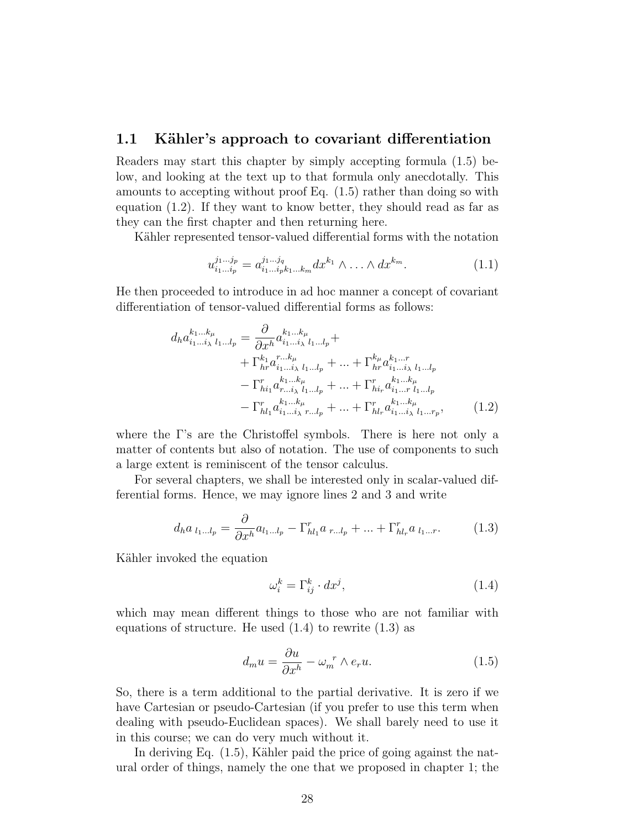### 1.1 Kähler's approach to covariant differentiation

Readers may start this chapter by simply accepting formula (1.5) below, and looking at the text up to that formula only anecdotally. This amounts to accepting without proof Eq. (1.5) rather than doing so with equation (1.2). If they want to know better, they should read as far as they can the first chapter and then returning here.

Kähler represented tensor-valued differential forms with the notation

$$
u_{i_1...i_p}^{j_1...j_p} = a_{i_1...i_p k_1...k_m}^{j_1...j_q} dx^{k_1} \wedge \ldots \wedge dx^{k_m}.
$$
 (1.1)

He then proceeded to introduce in ad hoc manner a concept of covariant differentiation of tensor-valued differential forms as follows:

$$
d_h a_{i_1...i_\lambda}^{k_1...k_\mu} = \frac{\partial}{\partial x^h} a_{i_1...i_\lambda}^{k_1...k_\mu} + + \Gamma_{hr}^{k_1} a_{i_1...i_\lambda}^{r...k_\mu} a_{i_1...i_\lambda}^{k_1...k_\mu} + \cdots + \Gamma_{hr}^{k_\mu} a_{i_1...i_\lambda}^{k_1...r} a_{i_1...i_\lambda}^{k_1...k_\mu} - \Gamma_{hi_1}^r a_{r...i_\lambda}^{k_1...k_\mu} + \cdots + \Gamma_{hi_r}^r a_{i_1...i_1...i_r}^{k_1...k_\mu} - \Gamma_{h l_1}^r a_{i_1...i_\lambda}^{k_1...k_\mu} + \cdots + \Gamma_{hl_r}^r a_{i_1...i_\lambda}^{k_1...k_\mu} , \qquad (1.2)
$$

where the Γ's are the Christoffel symbols. There is here not only a matter of contents but also of notation. The use of components to such a large extent is reminiscent of the tensor calculus.

For several chapters, we shall be interested only in scalar-valued differential forms. Hence, we may ignore lines 2 and 3 and write

$$
d_h a_{l_1...l_p} = \frac{\partial}{\partial x^h} a_{l_1...l_p} - \Gamma^r_{hl_1} a_{r...l_p} + ... + \Gamma^r_{hl_r} a_{l_1...r}.
$$
 (1.3)

Kähler invoked the equation

$$
\omega_i^k = \Gamma_{ij}^k \cdot dx^j,\tag{1.4}
$$

which may mean different things to those who are not familiar with equations of structure. He used  $(1.4)$  to rewrite  $(1.3)$  as

$$
d_m u = \frac{\partial u}{\partial x^h} - \omega_m^r \wedge e_r u. \tag{1.5}
$$

So, there is a term additional to the partial derivative. It is zero if we have Cartesian or pseudo-Cartesian (if you prefer to use this term when dealing with pseudo-Euclidean spaces). We shall barely need to use it in this course; we can do very much without it.

In deriving Eq.  $(1.5)$ , Kähler paid the price of going against the natural order of things, namely the one that we proposed in chapter 1; the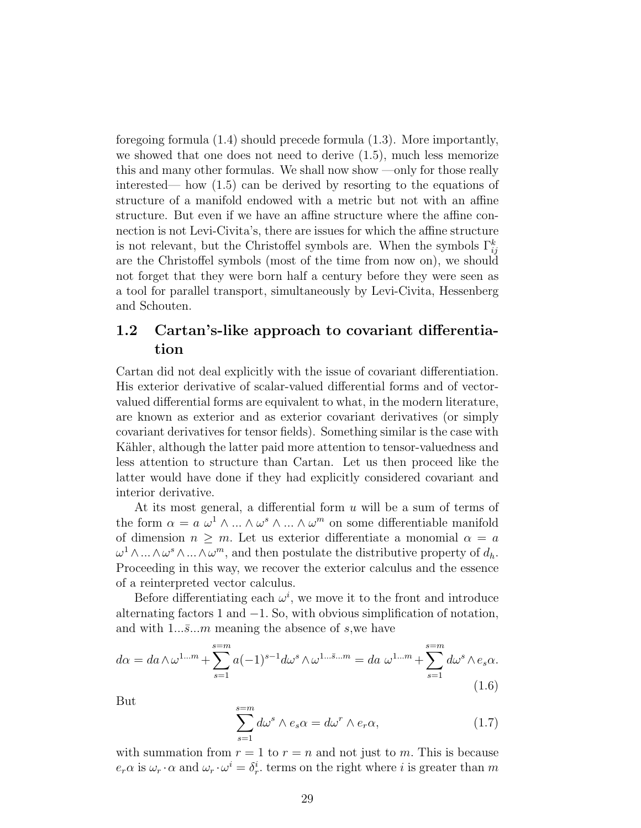foregoing formula (1.4) should precede formula (1.3). More importantly, we showed that one does not need to derive (1.5), much less memorize this and many other formulas. We shall now show —only for those really interested— how (1.5) can be derived by resorting to the equations of structure of a manifold endowed with a metric but not with an affine structure. But even if we have an affine structure where the affine connection is not Levi-Civita's, there are issues for which the affine structure is not relevant, but the Christoffel symbols are. When the symbols  $\Gamma_{ij}^k$ are the Christoffel symbols (most of the time from now on), we should not forget that they were born half a century before they were seen as a tool for parallel transport, simultaneously by Levi-Civita, Hessenberg and Schouten.

# 1.2 Cartan's-like approach to covariant differentiation

Cartan did not deal explicitly with the issue of covariant differentiation. His exterior derivative of scalar-valued differential forms and of vectorvalued differential forms are equivalent to what, in the modern literature, are known as exterior and as exterior covariant derivatives (or simply covariant derivatives for tensor fields). Something similar is the case with Kähler, although the latter paid more attention to tensor-valuedness and less attention to structure than Cartan. Let us then proceed like the latter would have done if they had explicitly considered covariant and interior derivative.

At its most general, a differential form  $u$  will be a sum of terms of the form  $\alpha = a \omega^1 \wedge ... \wedge \omega^s \wedge ... \wedge \omega^m$  on some differentiable manifold of dimension  $n \geq m$ . Let us exterior differentiate a monomial  $\alpha = a$  $\omega^1 \wedge ... \wedge \omega^s \wedge ... \wedge \omega^m$ , and then postulate the distributive property of  $d_h$ . Proceeding in this way, we recover the exterior calculus and the essence of a reinterpreted vector calculus.

Before differentiating each  $\omega^i$ , we move it to the front and introduce alternating factors 1 and  $-1$ . So, with obvious simplification of notation, and with  $1...\overline{s}...m$  meaning the absence of s, we have

$$
d\alpha = da \wedge \omega^{1...m} + \sum_{s=1}^{s=m} a(-1)^{s-1} d\omega^s \wedge \omega^{1...s...m} = da \ \omega^{1...m} + \sum_{s=1}^{s=m} d\omega^s \wedge e_s \alpha.
$$
\n(1.6)

But

$$
\sum_{s=1}^{s=m} d\omega^s \wedge e_s \alpha = d\omega^r \wedge e_r \alpha,
$$
\n(1.7)

with summation from  $r = 1$  to  $r = n$  and not just to m. This is because  $e_r \alpha$  is  $\omega_r \cdot \alpha$  and  $\omega_r \cdot \omega^i = \delta_r^i$ , terms on the right where i is greater than m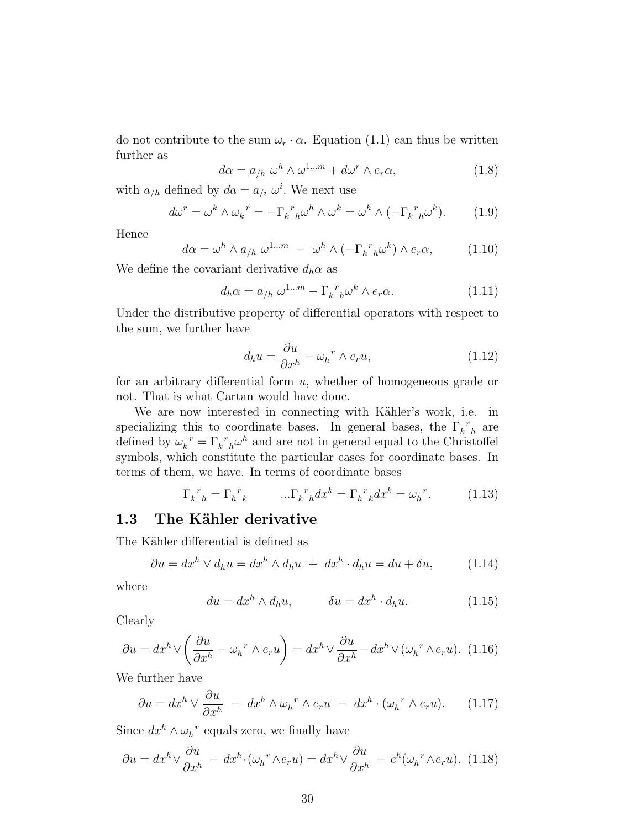do not contribute to the sum  $\omega_r \cdot \alpha$ . Equation (1.1) can thus be written further as

$$
d\alpha = a_{/h} \omega^h \wedge \omega^{1...m} + d\omega^r \wedge e_r \alpha,
$$
\n(1.8)

with  $a_{/h}$  defined by  $da = a_{/i} \omega^i$ . We next use

$$
d\omega^r = \omega^k \wedge {\omega_k}^r = -\Gamma_k^r{}_{h}\omega^h \wedge \omega^k = \omega^h \wedge (-\Gamma_k^r{}_{h}\omega^k). \tag{1.9}
$$

Hence

$$
d\alpha = \omega^h \wedge a_{/h} \; \omega^{1...m} \; - \; \omega^h \wedge (-\Gamma_k{}^r{}_{h} \omega^k) \wedge e_r \alpha, \tag{1.10}
$$

We define the covariant derivative  $d_h \alpha$  as

$$
d_h \alpha = a_{/h} \omega^{1...m} - \Gamma_k^{\ r}{}_{h} \omega^k \wedge e_r \alpha. \tag{1.11}
$$

Under the distributive property of differential operators with respect to the sum, we further have

$$
d_h u = \frac{\partial u}{\partial x^h} - \omega_h^r \wedge e_r u,\tag{1.12}
$$

for an arbitrary differential form  $u$ , whether of homogeneous grade or not. That is what Cartan would have done.

We are now interested in connecting with Kähler's work, i.e. in specializing this to coordinate bases. In general bases, the  $\Gamma_k^{\ r}{}_{h}$  are defined by  $\omega_k^{\ r} = \Gamma_k^{\ r}{}_{h} \omega^h$  and are not in general equal to the Christoffel symbols, which constitute the particular cases for coordinate bases. In terms of them, we have. In terms of coordinate bases

$$
\Gamma_k{}^r{}_h = \Gamma_h{}^r{}_k \qquad \dots \Gamma_k{}^r{}_h dx^k = \Gamma_h{}^r{}_k dx^k = \omega_h{}^r. \tag{1.13}
$$

### 1.3 The Kähler derivative

The Kähler differential is defined as

$$
\partial u = dx^h \vee d_h u = dx^h \wedge d_h u + dx^h \cdot d_h u = du + \delta u, \qquad (1.14)
$$

where

$$
du = dxh \wedge d_h u, \qquad \delta u = dxh \cdot d_h u. \qquad (1.15)
$$

Clearly

$$
\partial u = dx^{h} \vee \left(\frac{\partial u}{\partial x^{h}} - \omega_{h}^{r} \wedge e_{r} u\right) = dx^{h} \vee \frac{\partial u}{\partial x^{h}} - dx^{h} \vee (\omega_{h}^{r} \wedge e_{r} u). \tag{1.16}
$$

We further have

$$
\partial u = dx^h \vee \frac{\partial u}{\partial x^h} - dx^h \wedge \omega_h^r \wedge e_r u - dx^h \cdot (\omega_h^r \wedge e_r u). \tag{1.17}
$$

Since  $dx^h \wedge \omega_h^r$  equals zero, we finally have

$$
\partial u = dx^{h} \vee \frac{\partial u}{\partial x^{h}} - dx^{h} \cdot (\omega_{h}^{r} \wedge e_{r} u) = dx^{h} \vee \frac{\partial u}{\partial x^{h}} - e^{h} (\omega_{h}^{r} \wedge e_{r} u). \tag{1.18}
$$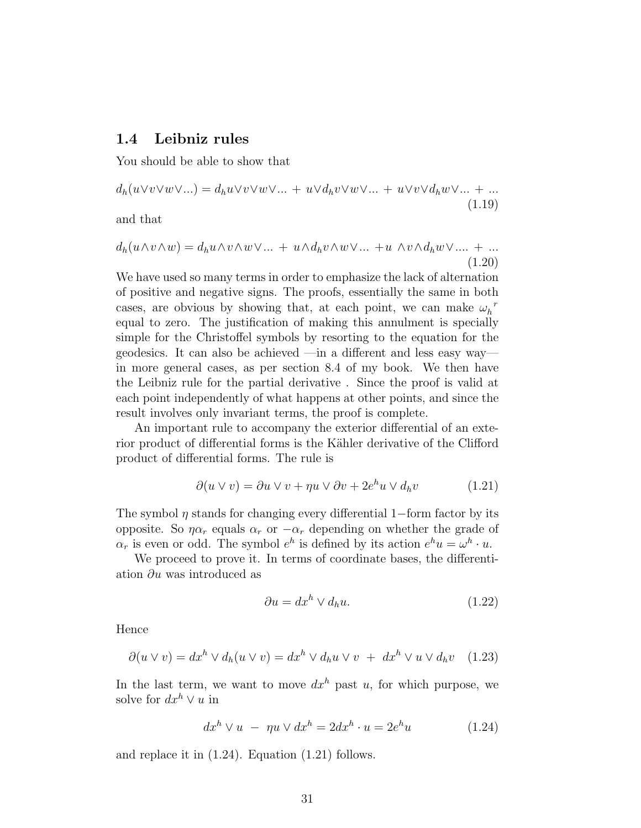### 1.4 Leibniz rules

You should be able to show that

$$
d_h(u \vee v \vee w \vee ...)=d_h u \vee v \vee w \vee ... + u \vee d_h v \vee w \vee ... + u \vee v \vee d_h w \vee ... + ...
$$
\n(1.19)

and that

$$
d_h(u \wedge v \wedge w) = d_h u \wedge v \wedge w \vee \dots + u \wedge d_h v \wedge w \vee \dots + u \wedge v \wedge d_h w \vee \dots + \dots
$$
\n
$$
(1.20)
$$

We have used so many terms in order to emphasize the lack of alternation of positive and negative signs. The proofs, essentially the same in both cases, are obvious by showing that, at each point, we can make  $\omega_h^{\ r}$ equal to zero. The justification of making this annulment is specially simple for the Christoffel symbols by resorting to the equation for the geodesics. It can also be achieved —in a different and less easy way in more general cases, as per section 8.4 of my book. We then have the Leibniz rule for the partial derivative . Since the proof is valid at each point independently of what happens at other points, and since the result involves only invariant terms, the proof is complete.

An important rule to accompany the exterior differential of an exterior product of differential forms is the Kähler derivative of the Clifford product of differential forms. The rule is

$$
\partial(u \vee v) = \partial u \vee v + \eta u \vee \partial v + 2e^{h} u \vee d_{h} v \tag{1.21}
$$

The symbol  $\eta$  stands for changing every differential 1−form factor by its opposite. So  $\eta \alpha_r$  equals  $\alpha_r$  or  $-\alpha_r$  depending on whether the grade of  $\alpha_r$  is even or odd. The symbol  $e^h$  is defined by its action  $e^h u = \omega^h \cdot u$ .

We proceed to prove it. In terms of coordinate bases, the differentiation  $\partial u$  was introduced as

$$
\partial u = dx^h \vee d_h u. \tag{1.22}
$$

Hence

$$
\partial(u \vee v) = dx^{h} \vee d_{h}(u \vee v) = dx^{h} \vee d_{h}u \vee v + dx^{h} \vee u \vee d_{h}v \quad (1.23)
$$

In the last term, we want to move  $dx^h$  past u, for which purpose, we solve for  $dx^h \vee u$  in

$$
dxh \vee u - \eta u \vee dxh = 2dxh \cdot u = 2eh u \qquad (1.24)
$$

and replace it in (1.24). Equation (1.21) follows.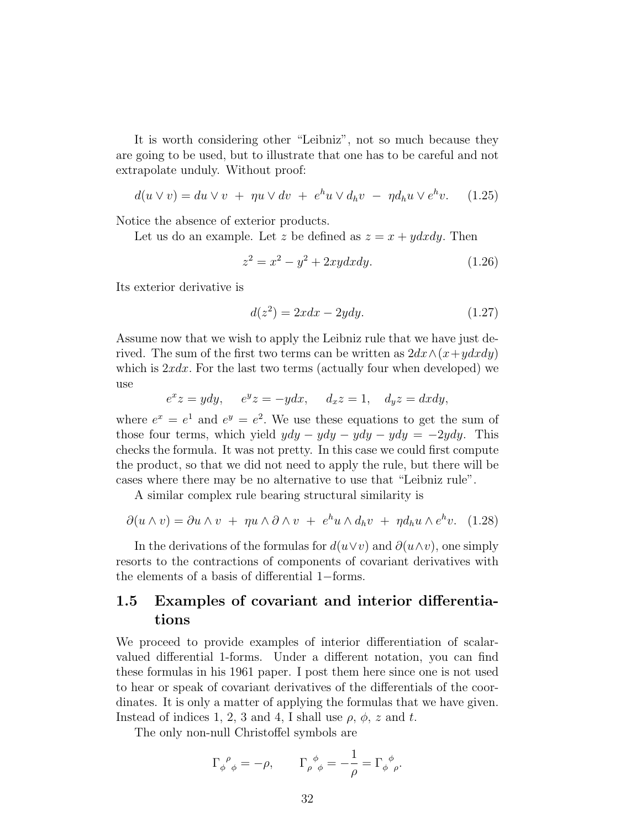It is worth considering other "Leibniz", not so much because they are going to be used, but to illustrate that one has to be careful and not extrapolate unduly. Without proof:

$$
d(u \vee v) = du \vee v + \eta u \vee dv + e^h u \vee d_h v - \eta d_h u \vee e^h v. \quad (1.25)
$$

Notice the absence of exterior products.

Let us do an example. Let z be defined as  $z = x + y dx dy$ . Then

$$
z^2 = x^2 - y^2 + 2xy dx dy.
$$
 (1.26)

Its exterior derivative is

$$
d(z^2) = 2xdx - 2ydy.\t(1.27)
$$

Assume now that we wish to apply the Leibniz rule that we have just derived. The sum of the first two terms can be written as  $2dx \wedge (x+ydxdy)$ which is  $2xdx$ . For the last two terms (actually four when developed) we use

$$
e^x z = ydy, \quad e^y z = -ydx, \quad d_x z = 1, \quad d_y z = dxdy,
$$

where  $e^x = e^1$  and  $e^y = e^2$ . We use these equations to get the sum of those four terms, which yield  $ydy - ydy - ydy - ydy = -2ydy$ . This checks the formula. It was not pretty. In this case we could first compute the product, so that we did not need to apply the rule, but there will be cases where there may be no alternative to use that "Leibniz rule".

A similar complex rule bearing structural similarity is

$$
\partial(u \wedge v) = \partial u \wedge v + \eta u \wedge \partial \wedge v + e^h u \wedge d_h v + \eta d_h u \wedge e^h v. \quad (1.28)
$$

In the derivations of the formulas for  $d(u\vee v)$  and  $\partial(u\wedge v)$ , one simply resorts to the contractions of components of covariant derivatives with the elements of a basis of differential 1−forms.

### 1.5 Examples of covariant and interior differentiations

We proceed to provide examples of interior differentiation of scalarvalued differential 1-forms. Under a different notation, you can find these formulas in his 1961 paper. I post them here since one is not used to hear or speak of covariant derivatives of the differentials of the coordinates. It is only a matter of applying the formulas that we have given. Instead of indices 1, 2, 3 and 4, I shall use  $\rho$ ,  $\phi$ , z and t.

The only non-null Christoffel symbols are

$$
\Gamma_{\phi\ \phi}^{\ \rho} = -\rho, \qquad \Gamma_{\rho\ \phi}^{\ \phi} = -\frac{1}{\rho} = \Gamma_{\phi\ \rho}^{\ \phi}.
$$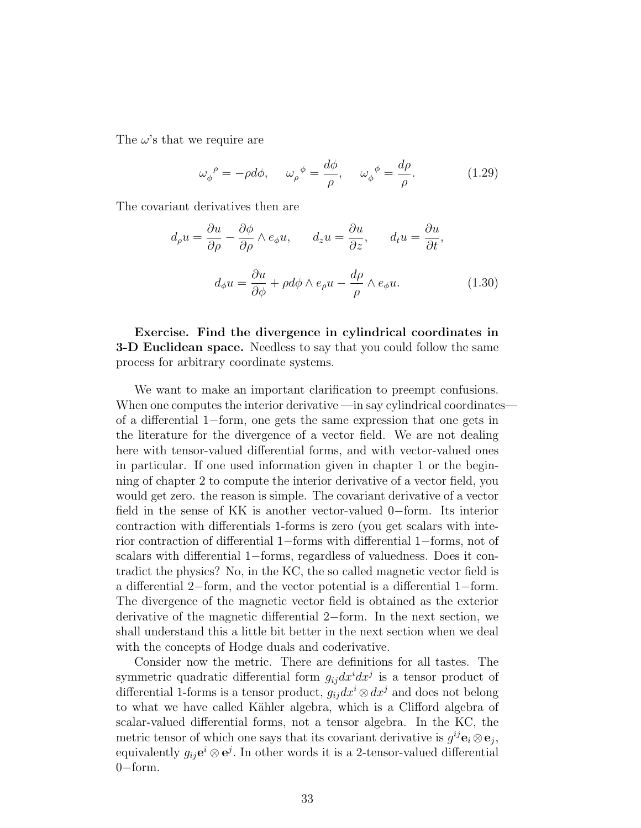The  $\omega$ 's that we require are

$$
\omega_{\phi}{}^{\rho} = -\rho d\phi, \quad \omega_{\rho}{}^{\phi} = \frac{d\phi}{\rho}, \quad \omega_{\phi}{}^{\phi} = \frac{d\rho}{\rho}.
$$
 (1.29)

The covariant derivatives then are

$$
d_{\rho}u = \frac{\partial u}{\partial \rho} - \frac{\partial \phi}{\partial \rho} \wedge e_{\phi}u, \qquad d_{z}u = \frac{\partial u}{\partial z}, \qquad d_{t}u = \frac{\partial u}{\partial t},
$$

$$
d_{\phi}u = \frac{\partial u}{\partial \phi} + \rho d\phi \wedge e_{\rho}u - \frac{d\rho}{\rho} \wedge e_{\phi}u.
$$
(1.30)

Exercise. Find the divergence in cylindrical coordinates in **3-D Euclidean space.** Needless to say that you could follow the same process for arbitrary coordinate systems.

We want to make an important clarification to preempt confusions. When one computes the interior derivative —in say cylindrical coordinates of a differential 1−form, one gets the same expression that one gets in the literature for the divergence of a vector field. We are not dealing here with tensor-valued differential forms, and with vector-valued ones in particular. If one used information given in chapter 1 or the beginning of chapter 2 to compute the interior derivative of a vector field, you would get zero. the reason is simple. The covariant derivative of a vector field in the sense of KK is another vector-valued 0−form. Its interior contraction with differentials 1-forms is zero (you get scalars with interior contraction of differential 1−forms with differential 1−forms, not of scalars with differential 1−forms, regardless of valuedness. Does it contradict the physics? No, in the KC, the so called magnetic vector field is a differential 2−form, and the vector potential is a differential 1−form. The divergence of the magnetic vector field is obtained as the exterior derivative of the magnetic differential 2−form. In the next section, we shall understand this a little bit better in the next section when we deal with the concepts of Hodge duals and coderivative.

Consider now the metric. There are definitions for all tastes. The symmetric quadratic differential form  $g_{ij}dx^idx^j$  is a tensor product of differential 1-forms is a tensor product,  $g_{ij}dx^i \otimes dx^j$  and does not belong to what we have called Kähler algebra, which is a Clifford algebra of scalar-valued differential forms, not a tensor algebra. In the KC, the metric tensor of which one says that its covariant derivative is  $g^{ij}$ **e**<sub>i</sub> $\otimes$ **e**<sub>j</sub>, equivalently  $g_{ij}e^i \otimes e^j$ . In other words it is a 2-tensor-valued differential 0−form.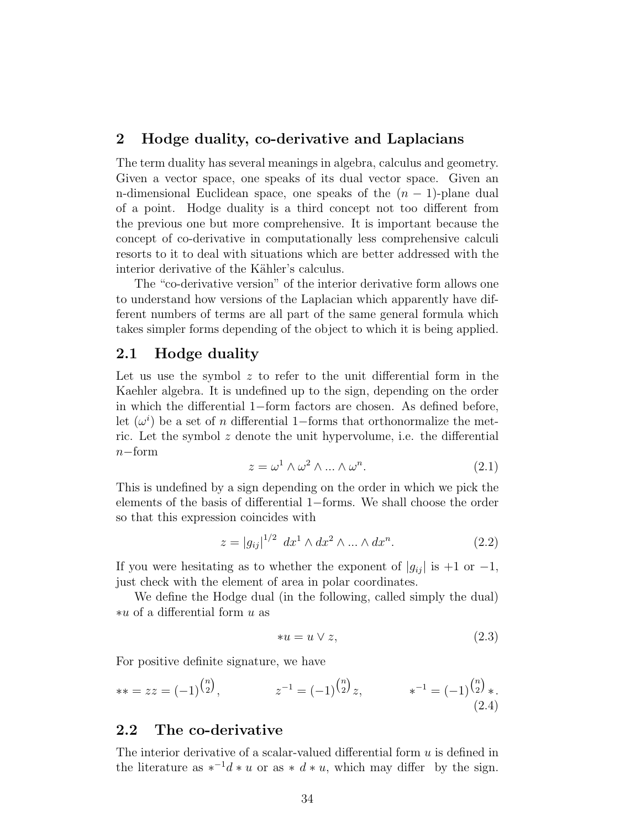#### 2 Hodge duality, co-derivative and Laplacians

The term duality has several meanings in algebra, calculus and geometry. Given a vector space, one speaks of its dual vector space. Given an n-dimensional Euclidean space, one speaks of the  $(n - 1)$ -plane dual of a point. Hodge duality is a third concept not too different from the previous one but more comprehensive. It is important because the concept of co-derivative in computationally less comprehensive calculi resorts to it to deal with situations which are better addressed with the interior derivative of the Kähler's calculus.

The "co-derivative version" of the interior derivative form allows one to understand how versions of the Laplacian which apparently have different numbers of terms are all part of the same general formula which takes simpler forms depending of the object to which it is being applied.

### 2.1 Hodge duality

Let us use the symbol  $z$  to refer to the unit differential form in the Kaehler algebra. It is undefined up to the sign, depending on the order in which the differential 1−form factors are chosen. As defined before, let  $(\omega^i)$  be a set of n differential 1–forms that orthonormalize the metric. Let the symbol  $z$  denote the unit hypervolume, i.e. the differential  $n-$ form

$$
z = \omega^1 \wedge \omega^2 \wedge \dots \wedge \omega^n. \tag{2.1}
$$

This is undefined by a sign depending on the order in which we pick the elements of the basis of differential 1−forms. We shall choose the order so that this expression coincides with

$$
z = |g_{ij}|^{1/2} dx^{1} \wedge dx^{2} \wedge ... \wedge dx^{n}.
$$
 (2.2)

If you were hesitating as to whether the exponent of  $|g_{ij}|$  is +1 or -1, just check with the element of area in polar coordinates.

We define the Hodge dual (in the following, called simply the dual) ∗u of a differential form u as

$$
*u = u \vee z,\tag{2.3}
$$

For positive definite signature, we have

$$
** = zz = (-1)^{\binom{n}{2}}, \qquad z^{-1} = (-1)^{\binom{n}{2}}z, \qquad *^{-1} = (-1)^{\binom{n}{2}}*.
$$
\n(2.4)

### 2.2 The co-derivative

The interior derivative of a scalar-valued differential form  $u$  is defined in the literature as  $*^{-1}d * u$  or as  $* d * u$ , which may differ by the sign.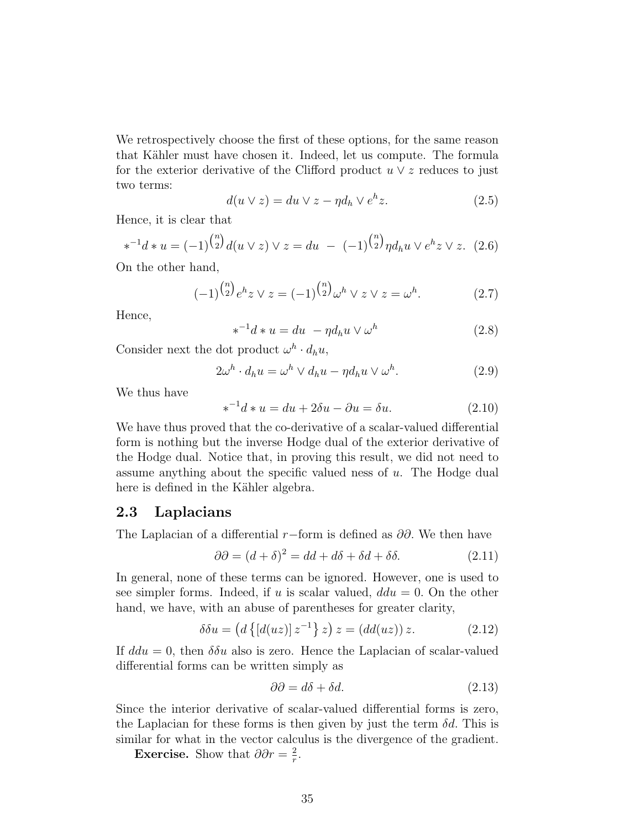We retrospectively choose the first of these options, for the same reason that Kähler must have chosen it. Indeed, let us compute. The formula for the exterior derivative of the Clifford product  $u \vee z$  reduces to just two terms:

$$
d(u \vee z) = du \vee z - \eta d_h \vee e^h z.
$$
 (2.5)

Hence, it is clear that

$$
*^{-1}d * u = (-1)^{\binom{n}{2}}d(u \vee z) \vee z = du - (-1)^{\binom{n}{2}}\eta d_h u \vee e^h z \vee z. \tag{2.6}
$$

On the other hand,

$$
(-1)^{\binom{n}{2}} e^h z \vee z = (-1)^{\binom{n}{2}} \omega^h \vee z \vee z = \omega^h. \tag{2.7}
$$

Hence,

$$
*^{-1}d * u = du - \eta d_h u \vee \omega^h \qquad (2.8)
$$

Consider next the dot product  $\omega^h \cdot d_h u$ ,

$$
2\omega^h \cdot d_h u = \omega^h \vee d_h u - \eta d_h u \vee \omega^h. \tag{2.9}
$$

We thus have

$$
\ast^{-1}d \ast u = du + 2\delta u - \partial u = \delta u. \tag{2.10}
$$

We have thus proved that the co-derivative of a scalar-valued differential form is nothing but the inverse Hodge dual of the exterior derivative of the Hodge dual. Notice that, in proving this result, we did not need to assume anything about the specific valued ness of u. The Hodge dual here is defined in the Kähler algebra.

### 2.3 Laplacians

The Laplacian of a differential r−form is defined as  $\partial \partial$ . We then have

$$
\partial \partial = (d + \delta)^2 = dd + d\delta + \delta d + \delta \delta. \tag{2.11}
$$

In general, none of these terms can be ignored. However, one is used to see simpler forms. Indeed, if u is scalar valued,  $ddu = 0$ . On the other hand, we have, with an abuse of parentheses for greater clarity,

$$
\delta \delta u = (d \{ [d(uz)] \, z^{-1} \} \, z) \, z = (dd(uz)) \, z. \tag{2.12}
$$

If  $ddu = 0$ , then  $\delta \delta u$  also is zero. Hence the Laplacian of scalar-valued differential forms can be written simply as

$$
\partial \partial = d\delta + \delta d. \tag{2.13}
$$

Since the interior derivative of scalar-valued differential forms is zero, the Laplacian for these forms is then given by just the term  $\delta d$ . This is similar for what in the vector calculus is the divergence of the gradient.

Exercise. Show that  $\partial \partial r = \frac{2}{r}$  $\frac{2}{r}$ .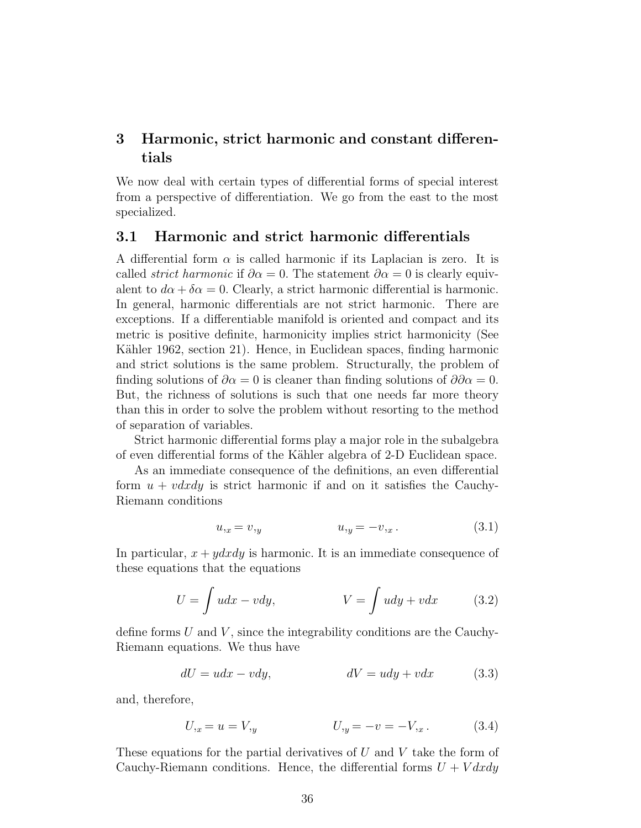### 3 Harmonic, strict harmonic and constant differentials

We now deal with certain types of differential forms of special interest from a perspective of differentiation. We go from the east to the most specialized.

#### 3.1 Harmonic and strict harmonic differentials

A differential form  $\alpha$  is called harmonic if its Laplacian is zero. It is called *strict harmonic* if  $\partial \alpha = 0$ . The statement  $\partial \alpha = 0$  is clearly equivalent to  $d\alpha + \delta \alpha = 0$ . Clearly, a strict harmonic differential is harmonic. In general, harmonic differentials are not strict harmonic. There are exceptions. If a differentiable manifold is oriented and compact and its metric is positive definite, harmonicity implies strict harmonicity (See Kähler 1962, section 21). Hence, in Euclidean spaces, finding harmonic and strict solutions is the same problem. Structurally, the problem of finding solutions of  $\partial \alpha = 0$  is cleaner than finding solutions of  $\partial \partial \alpha = 0$ . But, the richness of solutions is such that one needs far more theory than this in order to solve the problem without resorting to the method of separation of variables.

Strict harmonic differential forms play a major role in the subalgebra of even differential forms of the K¨ahler algebra of 2-D Euclidean space.

As an immediate consequence of the definitions, an even differential form  $u + v dx dy$  is strict harmonic if and on it satisfies the Cauchy-Riemann conditions

$$
u_{,x} = v_{,y} \t\t u_{,y} = -v_{,x} \t\t(3.1)
$$

In particular,  $x + y dx dy$  is harmonic. It is an immediate consequence of these equations that the equations

$$
U = \int u dx - v dy, \qquad V = \int u dy + v dx \qquad (3.2)
$$

define forms  $U$  and  $V$ , since the integrability conditions are the Cauchy-Riemann equations. We thus have

$$
dU = udx - vdy, \qquad \qquad dV = udy + vdx \qquad (3.3)
$$

and, therefore,

$$
U_{,x} = u = V_{,y} \qquad U_{,y} = -v = -V_{,x} \,. \tag{3.4}
$$

These equations for the partial derivatives of  $U$  and  $V$  take the form of Cauchy-Riemann conditions. Hence, the differential forms  $U + V dx dy$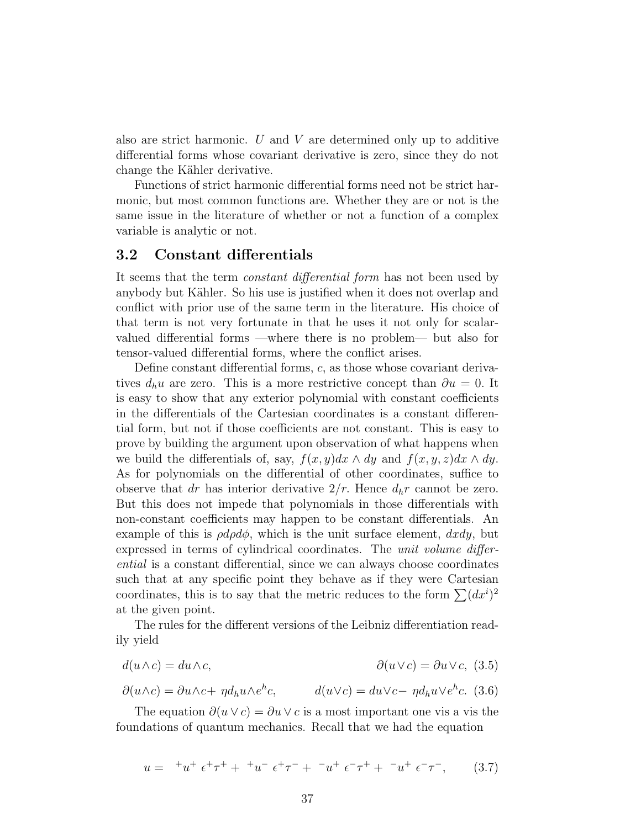also are strict harmonic. U and V are determined only up to additive differential forms whose covariant derivative is zero, since they do not change the Kähler derivative.

Functions of strict harmonic differential forms need not be strict harmonic, but most common functions are. Whether they are or not is the same issue in the literature of whether or not a function of a complex variable is analytic or not.

#### 3.2 Constant differentials

It seems that the term constant differential form has not been used by anybody but Kähler. So his use is justified when it does not overlap and conflict with prior use of the same term in the literature. His choice of that term is not very fortunate in that he uses it not only for scalarvalued differential forms —where there is no problem— but also for tensor-valued differential forms, where the conflict arises.

Define constant differential forms, c, as those whose covariant derivatives  $d_h u$  are zero. This is a more restrictive concept than  $\partial u = 0$ . It is easy to show that any exterior polynomial with constant coefficients in the differentials of the Cartesian coordinates is a constant differential form, but not if those coefficients are not constant. This is easy to prove by building the argument upon observation of what happens when we build the differentials of, say,  $f(x, y)dx \wedge dy$  and  $f(x, y, z)dx \wedge dy$ . As for polynomials on the differential of other coordinates, suffice to observe that dr has interior derivative  $2/r$ . Hence  $d_h r$  cannot be zero. But this does not impede that polynomials in those differentials with non-constant coefficients may happen to be constant differentials. An example of this is  $\rho d\rho d\phi$ , which is the unit surface element,  $dxdy$ , but expressed in terms of cylindrical coordinates. The *unit volume differ*ential is a constant differential, since we can always choose coordinates such that at any specific point they behave as if they were Cartesian coordinates, this is to say that the metric reduces to the form  $\sum (dx^i)^2$ at the given point.

The rules for the different versions of the Leibniz differentiation readily yield

$$
d(u \wedge c) = du \wedge c, \qquad \qquad \partial(u \vee c) = \partial u \vee c, \tag{3.5}
$$

$$
\partial(u \wedge c) = \partial u \wedge c + \eta d_h u \wedge e^h c, \qquad d(u \vee c) = du \vee c - \eta d_h u \vee e^h c. \tag{3.6}
$$

The equation  $\partial(u \vee c) = \partial u \vee c$  is a most important one vis a vis the foundations of quantum mechanics. Recall that we had the equation

$$
u = {}^{+}u^{+} \epsilon^{+}\tau^{+} + {}^{+}u^{-} \epsilon^{+}\tau^{-} + {}^{-}u^{+} \epsilon^{-}\tau^{+} + {}^{-}u^{+} \epsilon^{-}\tau^{-}, \qquad (3.7)
$$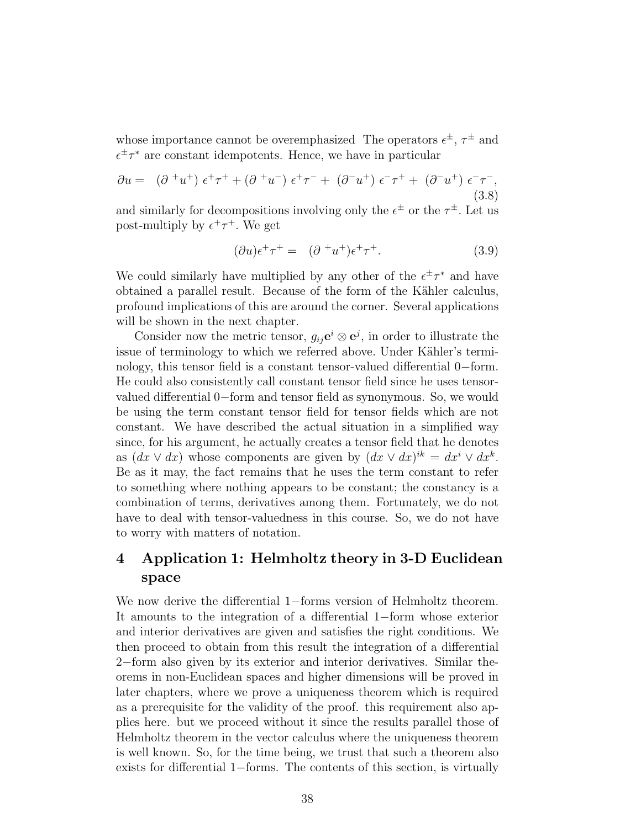whose importance cannot be overemphasized The operators  $\epsilon^{\pm}$ ,  $\tau^{\pm}$  and  $\epsilon^{\pm} \tau^*$  are constant idempotents. Hence, we have in particular

$$
\partial u = (\partial^+ u^+) \epsilon^+ \tau^+ + (\partial^+ u^-) \epsilon^+ \tau^- + (\partial^- u^+) \epsilon^- \tau^+ + (\partial^- u^+) \epsilon^- \tau^-,
$$
\n(3.8)

and similarly for decompositions involving only the  $\epsilon^{\pm}$  or the  $\tau^{\pm}$ . Let us post-multiply by  $\epsilon^+ \tau^+$ . We get

$$
(\partial u)\epsilon^+\tau^+ = (\partial^{\phantom{+}}u^+)\epsilon^+\tau^+.\tag{3.9}
$$

We could similarly have multiplied by any other of the  $\epsilon^{\pm} \tau^*$  and have obtained a parallel result. Because of the form of the Kähler calculus, profound implications of this are around the corner. Several applications will be shown in the next chapter.

Consider now the metric tensor,  $g_{ij}e^i \otimes e^j$ , in order to illustrate the issue of terminology to which we referred above. Under Kähler's terminology, this tensor field is a constant tensor-valued differential 0−form. He could also consistently call constant tensor field since he uses tensorvalued differential 0−form and tensor field as synonymous. So, we would be using the term constant tensor field for tensor fields which are not constant. We have described the actual situation in a simplified way since, for his argument, he actually creates a tensor field that he denotes as  $(dx \vee dx)$  whose components are given by  $(dx \vee dx)^{ik} = dx^i \vee dx^k$ . Be as it may, the fact remains that he uses the term constant to refer to something where nothing appears to be constant; the constancy is a combination of terms, derivatives among them. Fortunately, we do not have to deal with tensor-valuedness in this course. So, we do not have to worry with matters of notation.

### 4 Application 1: Helmholtz theory in 3-D Euclidean space

We now derive the differential 1−forms version of Helmholtz theorem. It amounts to the integration of a differential 1−form whose exterior and interior derivatives are given and satisfies the right conditions. We then proceed to obtain from this result the integration of a differential 2−form also given by its exterior and interior derivatives. Similar theorems in non-Euclidean spaces and higher dimensions will be proved in later chapters, where we prove a uniqueness theorem which is required as a prerequisite for the validity of the proof. this requirement also applies here. but we proceed without it since the results parallel those of Helmholtz theorem in the vector calculus where the uniqueness theorem is well known. So, for the time being, we trust that such a theorem also exists for differential 1−forms. The contents of this section, is virtually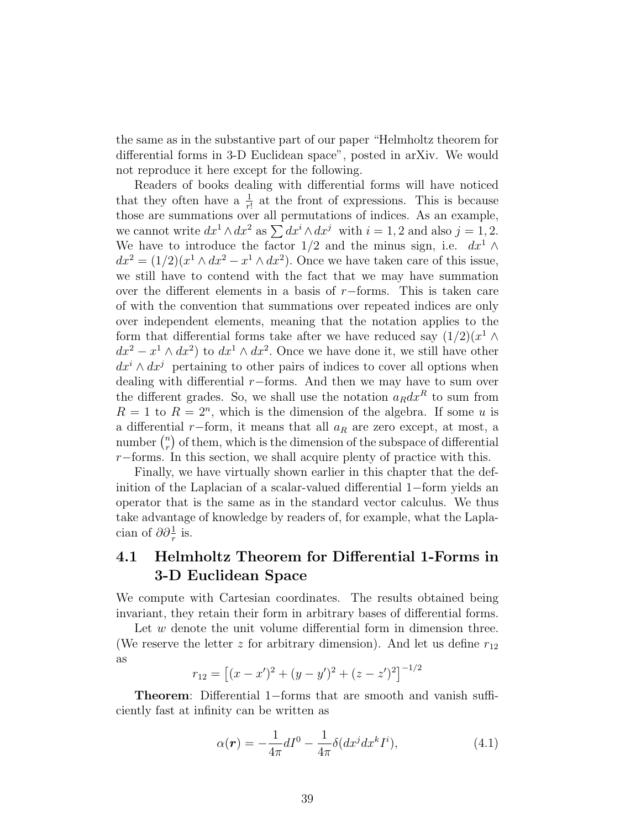the same as in the substantive part of our paper "Helmholtz theorem for differential forms in 3-D Euclidean space", posted in arXiv. We would not reproduce it here except for the following.

Readers of books dealing with differential forms will have noticed that they often have a  $\frac{1}{r!}$  at the front of expressions. This is because those are summations over all permutations of indices. As an example, we cannot write  $dx^1 \wedge dx^2$  as  $\sum dx^i \wedge dx^j$  with  $i = 1, 2$  and also  $j = 1, 2$ . We have to introduce the factor 1/2 and the minus sign, i.e.  $dx^1 \wedge$  $dx^{2} = (1/2)(x^{1} \wedge dx^{2} - x^{1} \wedge dx^{2})$ . Once we have taken care of this issue, we still have to contend with the fact that we may have summation over the different elements in a basis of  $r$ −forms. This is taken care of with the convention that summations over repeated indices are only over independent elements, meaning that the notation applies to the form that differential forms take after we have reduced say  $(1/2)(x^1 \wedge$  $dx^2 - x^1 \wedge dx^2$  to  $dx^1 \wedge dx^2$ . Once we have done it, we still have other  $dx^{i} \wedge dx^{j}$  pertaining to other pairs of indices to cover all options when dealing with differential r−forms. And then we may have to sum over the different grades. So, we shall use the notation  $a_R dx^R$  to sum from  $R = 1$  to  $R = 2<sup>n</sup>$ , which is the dimension of the algebra. If some u is a differential  $r$ −form, it means that all  $a_R$  are zero except, at most, a number  $\binom{n}{r}$  $\binom{n}{r}$  of them, which is the dimension of the subspace of differential r−forms. In this section, we shall acquire plenty of practice with this.

Finally, we have virtually shown earlier in this chapter that the definition of the Laplacian of a scalar-valued differential 1−form yields an operator that is the same as in the standard vector calculus. We thus take advantage of knowledge by readers of, for example, what the Laplacian of  $\partial \partial_{r}^1$  is.

# 4.1 Helmholtz Theorem for Differential 1-Forms in 3-D Euclidean Space

We compute with Cartesian coordinates. The results obtained being invariant, they retain their form in arbitrary bases of differential forms.

Let w denote the unit volume differential form in dimension three. (We reserve the letter z for arbitrary dimension). And let us define  $r_{12}$ as

$$
r_{12} = [(x - x')^{2} + (y - y')^{2} + (z - z')^{2}]^{-1/2}
$$

Theorem: Differential 1−forms that are smooth and vanish sufficiently fast at infinity can be written as

$$
\alpha(\mathbf{r}) = -\frac{1}{4\pi}dI^0 - \frac{1}{4\pi}\delta(dx^j dx^k I^i),\tag{4.1}
$$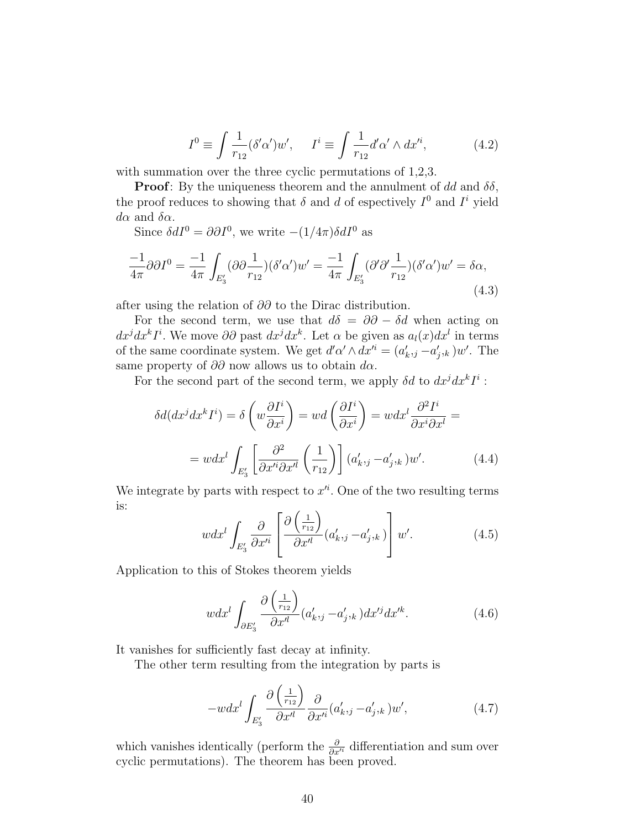$$
I^{0} \equiv \int \frac{1}{r_{12}} (\delta' \alpha') w', \quad I^{i} \equiv \int \frac{1}{r_{12}} d' \alpha' \wedge dx'^{i}, \tag{4.2}
$$

with summation over the three cyclic permutations of  $1,2,3$ .

**Proof:** By the uniqueness theorem and the annulment of dd and  $\delta\delta$ , the proof reduces to showing that  $\delta$  and  $d$  of espectively  $I^0$  and  $I^i$  yield  $d\alpha$  and  $\delta\alpha$ .

Since  $\delta dI^0 = \partial \partial I^0$ , we write  $-(1/4\pi)\delta dI^0$  as

$$
\frac{-1}{4\pi}\partial\partial I^0 = \frac{-1}{4\pi} \int_{E'_3} (\partial \partial \frac{1}{r_{12}})(\delta'\alpha')w' = \frac{-1}{4\pi} \int_{E'_3} (\partial'\partial'\frac{1}{r_{12}})(\delta'\alpha')w' = \delta\alpha,
$$
\n(4.3)

after using the relation of ∂∂ to the Dirac distribution.

For the second term, we use that  $d\delta = \partial \partial - \delta d$  when acting on  $dx^j dx^k I^i$ . We move  $\partial \partial$  past  $dx^j dx^k$ . Let  $\alpha$  be given as  $a_l(x) dx^l$  in terms of the same coordinate system. We get  $d'\alpha' \wedge dx'^i = (a'_{k,j} - a'_{j,k})w'$ . The same property of  $\partial\partial$  now allows us to obtain  $d\alpha$ .

For the second part of the second term, we apply  $\delta d$  to  $dx^j dx^k I^i$ :

$$
\delta d(dx^j dx^k I^i) = \delta \left( w \frac{\partial I^i}{\partial x^i} \right) = wd \left( \frac{\partial I^i}{\partial x^i} \right) = w dx^l \frac{\partial^2 I^i}{\partial x^i \partial x^l} =
$$

$$
= w dx^l \int_{E'_3} \left[ \frac{\partial^2}{\partial x'^i \partial x'^l} \left( \frac{1}{r_{12}} \right) \right] (a'_{k,j} - a'_{j,k}) w'.
$$
(4.4)

We integrate by parts with respect to  $x'^i$ . One of the two resulting terms is:

$$
w dx^{l} \int_{E'_{3}} \frac{\partial}{\partial x'^{i}} \left[ \frac{\partial \left( \frac{1}{r_{12}} \right)}{\partial x'^{l}} (a'_{k},_{j} - a'_{j},_{k}) \right] w'. \tag{4.5}
$$

Application to this of Stokes theorem yields

$$
wdx^{l} \int_{\partial E'_{3}} \frac{\partial \left(\frac{1}{r_{12}}\right)}{\partial x^{l}} (a'_{k},_{j} - a'_{j},_{k}) dx'^{j} dx'^{k}.
$$
 (4.6)

It vanishes for sufficiently fast decay at infinity.

The other term resulting from the integration by parts is

$$
-w dx^{l} \int_{E'_{3}} \frac{\partial \left(\frac{1}{r_{12}}\right)}{\partial x'^{l}} \frac{\partial}{\partial x'^{i}} (a'_{k},_{j} - a'_{j},_{k}) w', \qquad (4.7)
$$

which vanishes identically (perform the  $\frac{\partial}{\partial x^i}$  differentiation and sum over cyclic permutations). The theorem has been proved.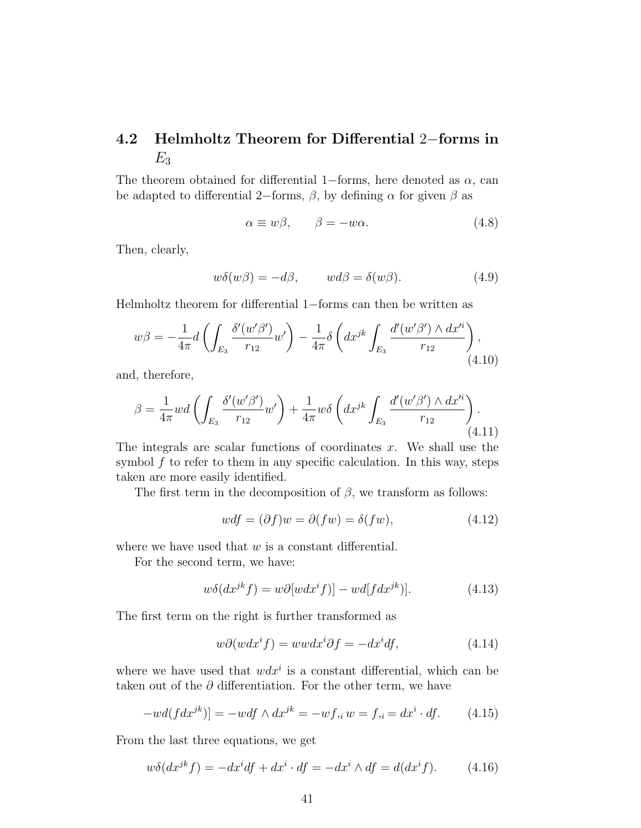# 4.2 Helmholtz Theorem for Differential 2−forms in  $E_3$

The theorem obtained for differential 1−forms, here denoted as  $\alpha$ , can be adapted to differential 2–forms,  $\beta$ , by defining  $\alpha$  for given  $\beta$  as

$$
\alpha \equiv w\beta, \qquad \beta = -w\alpha. \tag{4.8}
$$

Then, clearly,

$$
w\delta(w\beta) = -d\beta, \qquad wd\beta = \delta(w\beta). \tag{4.9}
$$

Helmholtz theorem for differential 1−forms can then be written as

$$
w\beta = -\frac{1}{4\pi}d\left(\int_{E_3} \frac{\delta'(w'\beta')}{r_{12}} w'\right) - \frac{1}{4\pi} \delta\left(dx^{jk} \int_{E_3} \frac{d'(w'\beta') \wedge dx'^i}{r_{12}}\right),\tag{4.10}
$$

and, therefore,

$$
\beta = \frac{1}{4\pi} w d \left( \int_{E_3} \frac{\delta'(w'\beta')}{r_{12}} w' \right) + \frac{1}{4\pi} w \delta \left( dx^{jk} \int_{E_3} \frac{d'(w'\beta') \wedge dx'^i}{r_{12}} \right). \tag{4.11}
$$

The integrals are scalar functions of coordinates  $x$ . We shall use the symbol  $f$  to refer to them in any specific calculation. In this way, steps taken are more easily identified.

The first term in the decomposition of  $\beta$ , we transform as follows:

$$
wdf = (\partial f)w = \partial(fw) = \delta(fw), \qquad (4.12)
$$

where we have used that  $w$  is a constant differential.

For the second term, we have:

$$
w\delta(dx^{jk}f) = w\partial[wdx^if)] - wd[fdx^{jk})].
$$
\n(4.13)

The first term on the right is further transformed as

$$
w\partial(wdx^i f) = wwdx^i\partial f = -dx^i df,
$$
\n(4.14)

where we have used that  $w dx^i$  is a constant differential, which can be taken out of the  $\partial$  differentiation. For the other term, we have

$$
-wd(fdx^{jk})] = -wdf \wedge dx^{jk} = -wf_{,i}w = f_{,i} = dx^{i} \cdot df. \qquad (4.15)
$$

From the last three equations, we get

$$
w\delta(dx^{jk}f) = -dx^i df + dx^i \cdot df = -dx^i \wedge df = d(dx^if). \tag{4.16}
$$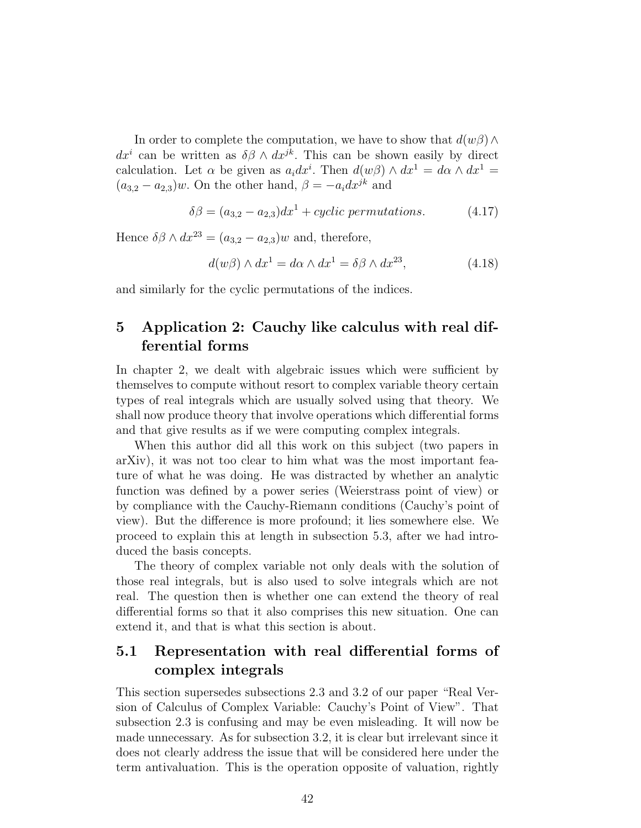In order to complete the computation, we have to show that  $d(w\beta) \wedge$  $dx^i$  can be written as  $\delta\beta \wedge dx^{jk}$ . This can be shown easily by direct calculation. Let  $\alpha$  be given as  $a_i dx^i$ . Then  $d(w\beta) \wedge dx^1 = d\alpha \wedge dx^1 =$  $(a_{3,2} - a_{2,3})w$ . On the other hand,  $\beta = -a_i dx^{jk}$  and

$$
\delta\beta = (a_{3,2} - a_{2,3})dx^{1} + cyclic\ permutations.
$$
\n(4.17)

Hence  $\delta\beta \wedge dx^{23} = (a_{3,2} - a_{2,3})w$  and, therefore,

$$
d(w\beta) \wedge dx^1 = d\alpha \wedge dx^1 = \delta\beta \wedge dx^{23}, \qquad (4.18)
$$

and similarly for the cyclic permutations of the indices.

## 5 Application 2: Cauchy like calculus with real differential forms

In chapter 2, we dealt with algebraic issues which were sufficient by themselves to compute without resort to complex variable theory certain types of real integrals which are usually solved using that theory. We shall now produce theory that involve operations which differential forms and that give results as if we were computing complex integrals.

When this author did all this work on this subject (two papers in arXiv), it was not too clear to him what was the most important feature of what he was doing. He was distracted by whether an analytic function was defined by a power series (Weierstrass point of view) or by compliance with the Cauchy-Riemann conditions (Cauchy's point of view). But the difference is more profound; it lies somewhere else. We proceed to explain this at length in subsection 5.3, after we had introduced the basis concepts.

The theory of complex variable not only deals with the solution of those real integrals, but is also used to solve integrals which are not real. The question then is whether one can extend the theory of real differential forms so that it also comprises this new situation. One can extend it, and that is what this section is about.

# 5.1 Representation with real differential forms of complex integrals

This section supersedes subsections 2.3 and 3.2 of our paper "Real Version of Calculus of Complex Variable: Cauchy's Point of View". That subsection 2.3 is confusing and may be even misleading. It will now be made unnecessary. As for subsection 3.2, it is clear but irrelevant since it does not clearly address the issue that will be considered here under the term antivaluation. This is the operation opposite of valuation, rightly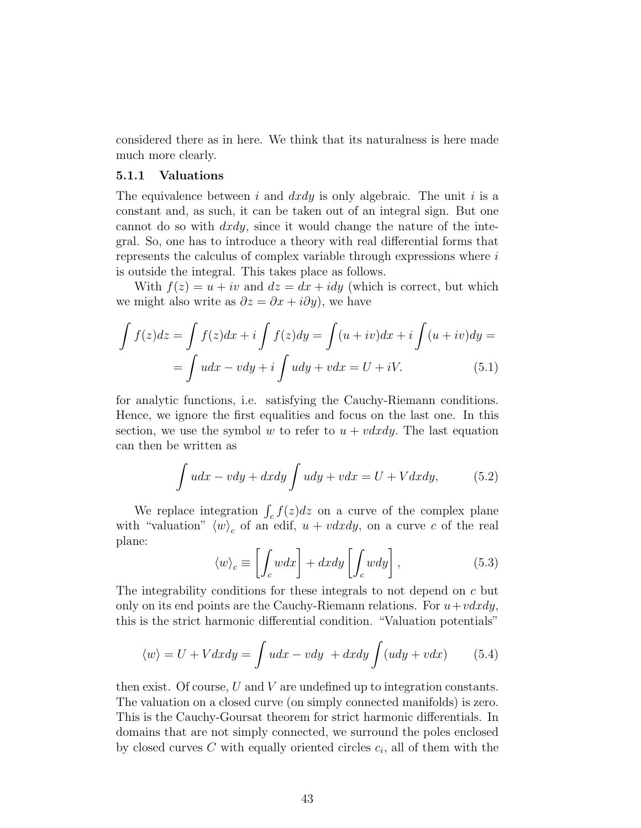considered there as in here. We think that its naturalness is here made much more clearly.

#### 5.1.1 Valuations

The equivalence between i and  $dxdy$  is only algebraic. The unit i is a constant and, as such, it can be taken out of an integral sign. But one cannot do so with  $dxdy$ , since it would change the nature of the integral. So, one has to introduce a theory with real differential forms that represents the calculus of complex variable through expressions where i is outside the integral. This takes place as follows.

With  $f(z) = u + iv$  and  $dz = dx + idy$  (which is correct, but which we might also write as  $\partial z = \partial x + i \partial y$ , we have

$$
\int f(z)dz = \int f(z)dx + i \int f(z)dy = \int (u+iv)dx + i \int (u+iv)dy =
$$

$$
= \int udx - vdy + i \int udy + vdx = U + iV.
$$
(5.1)

for analytic functions, i.e. satisfying the Cauchy-Riemann conditions. Hence, we ignore the first equalities and focus on the last one. In this section, we use the symbol w to refer to  $u + v dx dy$ . The last equation can then be written as

$$
\int udx - vdy + dxdy \int udy + vdx = U + Vdxdy,
$$
 (5.2)

We replace integration  $\int_c f(z)dz$  on a curve of the complex plane with "valuation"  $\langle w \rangle_c$  of an edif,  $u + v dx dy$ , on a curve c of the real plane:

$$
\langle w \rangle_c \equiv \left[ \int_c w dx \right] + dx dy \left[ \int_c w dy \right], \tag{5.3}
$$

The integrability conditions for these integrals to not depend on c but only on its end points are the Cauchy-Riemann relations. For  $u+vdxdy$ , this is the strict harmonic differential condition. "Valuation potentials"

$$
\langle w \rangle = U + V dx dy = \int u dx - v dy + dx dy \int (u dy + v dx) \tag{5.4}
$$

then exist. Of course,  $U$  and  $V$  are undefined up to integration constants. The valuation on a closed curve (on simply connected manifolds) is zero. This is the Cauchy-Goursat theorem for strict harmonic differentials. In domains that are not simply connected, we surround the poles enclosed by closed curves  $C$  with equally oriented circles  $c_i$ , all of them with the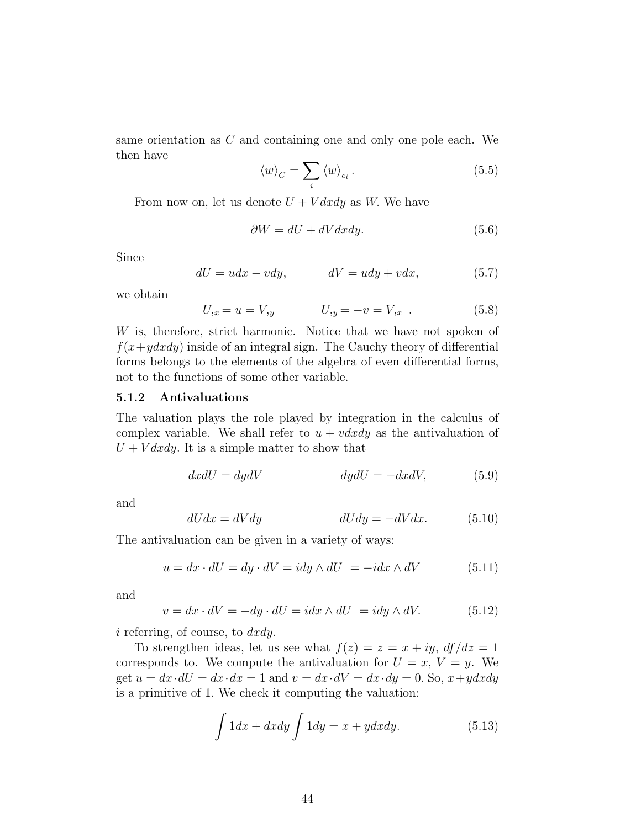same orientation as C and containing one and only one pole each. We then have

$$
\langle w \rangle_C = \sum_i \langle w \rangle_{c_i} \,. \tag{5.5}
$$

From now on, let us denote  $U + V dx dy$  as W. We have

$$
\partial W = dU + dV dx dy. \tag{5.6}
$$

Since

$$
dU = udx - vdy, \qquad \qquad dV = udy + vdx, \tag{5.7}
$$

we obtain

$$
U_{,x} = u = V_{,y} \qquad U_{,y} = -v = V_{,x} \qquad (5.8)
$$

W is, therefore, strict harmonic. Notice that we have not spoken of  $f(x+ydxdy)$  inside of an integral sign. The Cauchy theory of differential forms belongs to the elements of the algebra of even differential forms, not to the functions of some other variable.

#### 5.1.2 Antivaluations

The valuation plays the role played by integration in the calculus of complex variable. We shall refer to  $u + v dx dy$  as the antivaluation of  $U + V dx dy$ . It is a simple matter to show that

$$
dx dU = dy dV \t dy dU = -dx dV, \t (5.9)
$$

and

$$
dUdx = dVdy \t\t dUdy = -dVdx. \t\t (5.10)
$$

The antivaluation can be given in a variety of ways:

$$
u = dx \cdot dU = dy \cdot dV = idy \wedge dU = -idx \wedge dV \tag{5.11}
$$

and

$$
v = dx \cdot dV = -dy \cdot dU = idx \wedge dU = idy \wedge dV. \tag{5.12}
$$

 $i$  referring, of course, to  $dxdy$ .

To strengthen ideas, let us see what  $f(z) = z = x + iy$ ,  $df/dz = 1$ corresponds to. We compute the antivaluation for  $U = x$ ,  $V = y$ . We get  $u = dx \cdot dU = dx \cdot dx = 1$  and  $v = dx \cdot dV = dx \cdot dy = 0$ . So,  $x + y dx dy$ is a primitive of 1. We check it computing the valuation:

$$
\int 1 dx + dxdy \int 1 dy = x + y dxdy.
$$
 (5.13)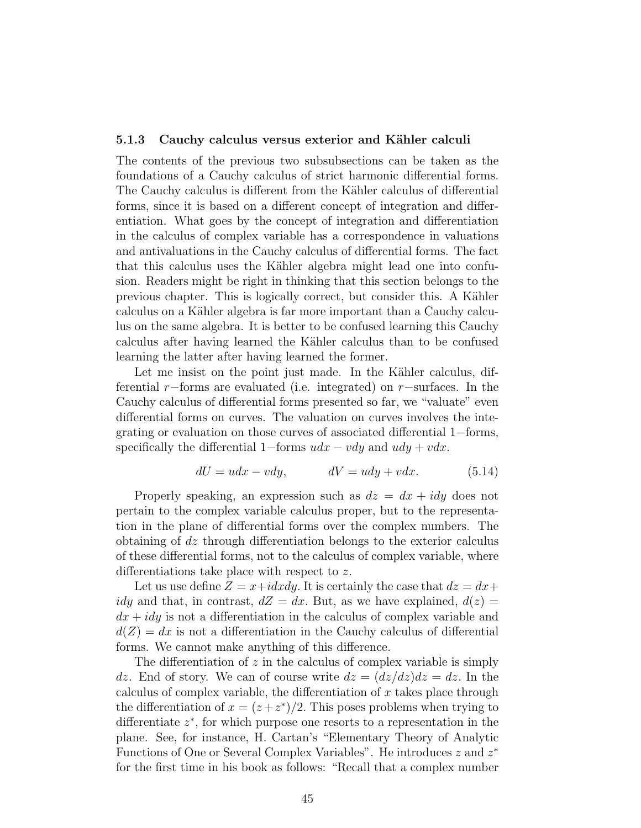#### 5.1.3 Cauchy calculus versus exterior and Kähler calculi

The contents of the previous two subsubsections can be taken as the foundations of a Cauchy calculus of strict harmonic differential forms. The Cauchy calculus is different from the Kähler calculus of differential forms, since it is based on a different concept of integration and differentiation. What goes by the concept of integration and differentiation in the calculus of complex variable has a correspondence in valuations and antivaluations in the Cauchy calculus of differential forms. The fact that this calculus uses the Kähler algebra might lead one into confusion. Readers might be right in thinking that this section belongs to the previous chapter. This is logically correct, but consider this. A Kähler calculus on a Kähler algebra is far more important than a Cauchy calculus on the same algebra. It is better to be confused learning this Cauchy calculus after having learned the Kähler calculus than to be confused learning the latter after having learned the former.

Let me insist on the point just made. In the Kähler calculus, differential r−forms are evaluated (i.e. integrated) on r−surfaces. In the Cauchy calculus of differential forms presented so far, we "valuate" even differential forms on curves. The valuation on curves involves the integrating or evaluation on those curves of associated differential 1−forms, specifically the differential 1–forms  $udx - vdy$  and  $udy + vdx$ .

$$
dU = udx - vdy, \qquad dV = udy + vdx. \tag{5.14}
$$

Properly speaking, an expression such as  $dz = dx + idy$  does not pertain to the complex variable calculus proper, but to the representation in the plane of differential forms over the complex numbers. The obtaining of dz through differentiation belongs to the exterior calculus of these differential forms, not to the calculus of complex variable, where differentiations take place with respect to z.

Let us use define  $Z = x + idxdy$ . It is certainly the case that  $dz = dx + dy$ idy and that, in contrast,  $dZ = dx$ . But, as we have explained,  $d(z) =$  $dx + idy$  is not a differentiation in the calculus of complex variable and  $d(Z) = dx$  is not a differentiation in the Cauchy calculus of differential forms. We cannot make anything of this difference.

The differentiation of  $z$  in the calculus of complex variable is simply dz. End of story. We can of course write  $dz = (dz/dz)dz = dz$ . In the calculus of complex variable, the differentiation of  $x$  takes place through the differentiation of  $x = (z + z^*)/2$ . This poses problems when trying to differentiate  $z^*$ , for which purpose one resorts to a representation in the plane. See, for instance, H. Cartan's "Elementary Theory of Analytic Functions of One or Several Complex Variables". He introduces z and  $z^*$ for the first time in his book as follows: "Recall that a complex number